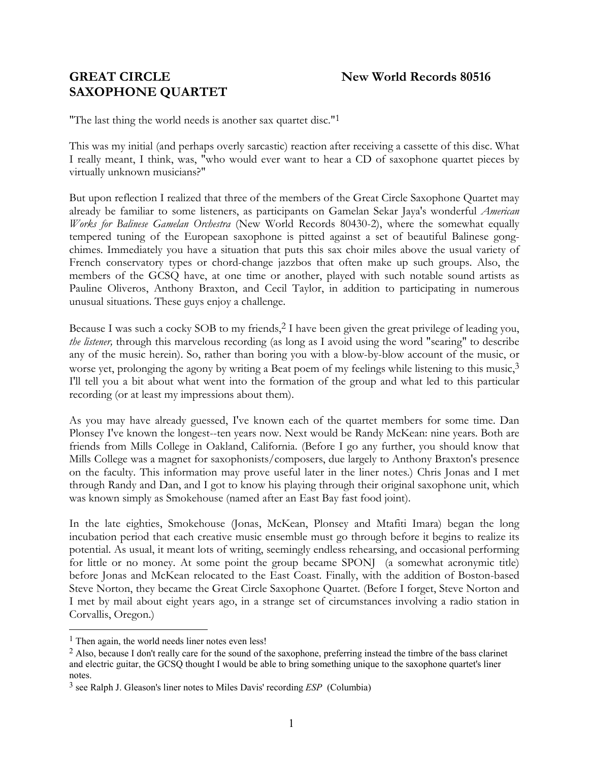# **GREAT CIRCLE** New World Records 80516 **SAXOPHONE QUARTET**

"The last thing the world needs is another sax quartet disc."[1](#page-0-0)

This was my initial (and perhaps overly sarcastic) reaction after receiving a cassette of this disc. What I really meant, I think, was, "who would ever want to hear a CD of saxophone quartet pieces by virtually unknown musicians?"

But upon reflection I realized that three of the members of the Great Circle Saxophone Quartet may already be familiar to some listeners, as participants on Gamelan Sekar Jaya's wonderful *American Works for Balinese Gamelan Orchestra* (New World Records 80430-2), where the somewhat equally tempered tuning of the European saxophone is pitted against a set of beautiful Balinese gongchimes. Immediately you have a situation that puts this sax choir miles above the usual variety of French conservatory types or chord-change jazzbos that often make up such groups. Also, the members of the GCSQ have, at one time or another, played with such notable sound artists as Pauline Oliveros, Anthony Braxton, and Cecil Taylor, in addition to participating in numerous unusual situations. These guys enjoy a challenge.

Because I was such a cocky SOB to my friends, [2](#page-0-1) I have been given the great privilege of leading you, *the listener,* through this marvelous recording (as long as I avoid using the word "searing" to describe any of the music herein). So, rather than boring you with a blow-by-blow account of the music, or worse yet, prolonging the agony by writing a Beat poem of my feelings while listening to this music,<sup>[3](#page-0-2)</sup> I'll tell you a bit about what went into the formation of the group and what led to this particular recording (or at least my impressions about them).

As you may have already guessed, I've known each of the quartet members for some time. Dan Plonsey I've known the longest--ten years now. Next would be Randy McKean: nine years. Both are friends from Mills College in Oakland, California. (Before I go any further, you should know that Mills College was a magnet for saxophonists/composers, due largely to Anthony Braxton's presence on the faculty. This information may prove useful later in the liner notes.) Chris Jonas and I met through Randy and Dan, and I got to know his playing through their original saxophone unit, which was known simply as Smokehouse (named after an East Bay fast food joint).

In the late eighties, Smokehouse (Jonas, McKean, Plonsey and Mtafiti Imara) began the long incubation period that each creative music ensemble must go through before it begins to realize its potential. As usual, it meant lots of writing, seemingly endless rehearsing, and occasional performing for little or no money. At some point the group became SPONJ (a somewhat acronymic title) before Jonas and McKean relocated to the East Coast. Finally, with the addition of Boston-based Steve Norton, they became the Great Circle Saxophone Quartet. (Before I forget, Steve Norton and I met by mail about eight years ago, in a strange set of circumstances involving a radio station in Corvallis, Oregon.)

<span id="page-0-0"></span><sup>&</sup>lt;sup>1</sup> Then again, the world needs liner notes even less!

<span id="page-0-1"></span><sup>2</sup> Also, because I don't really care for the sound of the saxophone, preferring instead the timbre of the bass clarinet and electric guitar, the GCSQ thought I would be able to bring something unique to the saxophone quartet's liner notes.

<span id="page-0-2"></span><sup>3</sup> see Ralph J. Gleason's liner notes to Miles Davis' recording *ESP* (Columbia)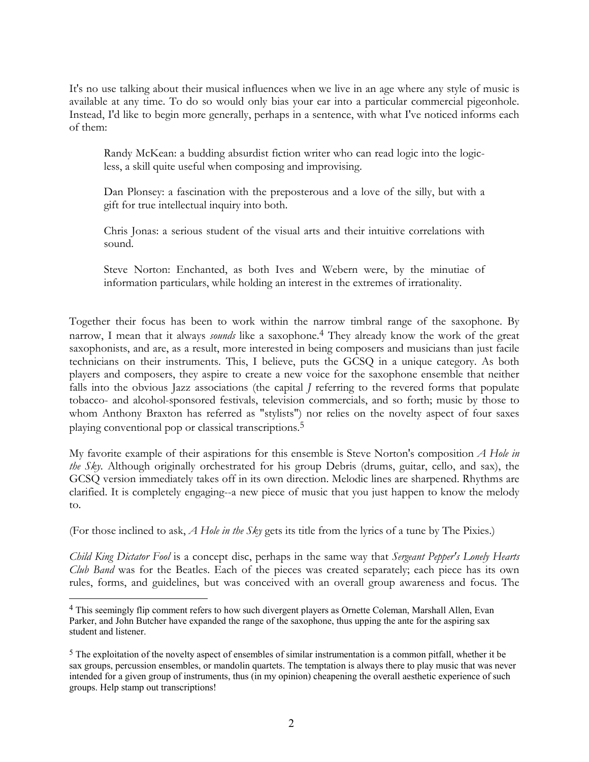It's no use talking about their musical influences when we live in an age where any style of music is available at any time. To do so would only bias your ear into a particular commercial pigeonhole. Instead, I'd like to begin more generally, perhaps in a sentence, with what I've noticed informs each of them:

Randy McKean: a budding absurdist fiction writer who can read logic into the logicless, a skill quite useful when composing and improvising.

Dan Plonsey: a fascination with the preposterous and a love of the silly, but with a gift for true intellectual inquiry into both.

Chris Jonas: a serious student of the visual arts and their intuitive correlations with sound.

Steve Norton: Enchanted, as both Ives and Webern were, by the minutiae of information particulars, while holding an interest in the extremes of irrationality.

Together their focus has been to work within the narrow timbral range of the saxophone. By narrow, I mean that it always *sounds* like a saxophone[.4](#page-1-0) They already know the work of the great saxophonists, and are, as a result, more interested in being composers and musicians than just facile technicians on their instruments. This, I believe, puts the GCSQ in a unique category. As both players and composers, they aspire to create a new voice for the saxophone ensemble that neither falls into the obvious Jazz associations (the capital *J* referring to the revered forms that populate tobacco- and alcohol-sponsored festivals, television commercials, and so forth; music by those to whom Anthony Braxton has referred as "stylists") nor relies on the novelty aspect of four saxes playing conventional pop or classical transcriptions.[5](#page-1-1)

My favorite example of their aspirations for this ensemble is Steve Norton's composition *A Hole in the Sky*. Although originally orchestrated for his group Debris (drums, guitar, cello, and sax), the GCSQ version immediately takes off in its own direction. Melodic lines are sharpened. Rhythms are clarified. It is completely engaging--a new piece of music that you just happen to know the melody to.

(For those inclined to ask, *A Hole in the Sky* gets its title from the lyrics of a tune by The Pixies.)

*Child King Dictator Fool* is a concept disc, perhaps in the same way that *Sergeant Pepper's Lonely Hearts Club Band* was for the Beatles. Each of the pieces was created separately; each piece has its own rules, forms, and guidelines, but was conceived with an overall group awareness and focus. The

<span id="page-1-0"></span> <sup>4</sup> This seemingly flip comment refers to how such divergent players as Ornette Coleman, Marshall Allen, Evan Parker, and John Butcher have expanded the range of the saxophone, thus upping the ante for the aspiring sax student and listener.

<span id="page-1-1"></span><sup>5</sup> The exploitation of the novelty aspect of ensembles of similar instrumentation is a common pitfall, whether it be sax groups, percussion ensembles, or mandolin quartets. The temptation is always there to play music that was never intended for a given group of instruments, thus (in my opinion) cheapening the overall aesthetic experience of such groups. Help stamp out transcriptions!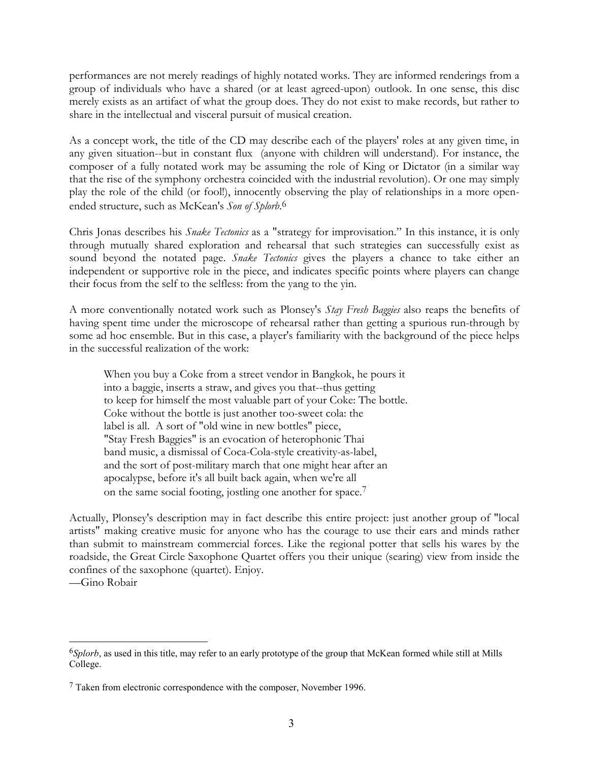performances are not merely readings of highly notated works. They are informed renderings from a group of individuals who have a shared (or at least agreed-upon) outlook. In one sense, this disc merely exists as an artifact of what the group does. They do not exist to make records, but rather to share in the intellectual and visceral pursuit of musical creation.

As a concept work, the title of the CD may describe each of the players' roles at any given time, in any given situation--but in constant flux (anyone with children will understand). For instance, the composer of a fully notated work may be assuming the role of King or Dictator (in a similar way that the rise of the symphony orchestra coincided with the industrial revolution). Or one may simply play the role of the child (or fool!), innocently observing the play of relationships in a more openended structure, such as McKean's *Son of Splorb*. [6](#page-2-0)

Chris Jonas describes his *Snake Tectonics* as a "strategy for improvisation." In this instance, it is only through mutually shared exploration and rehearsal that such strategies can successfully exist as sound beyond the notated page. *Snake Tectonics* gives the players a chance to take either an independent or supportive role in the piece, and indicates specific points where players can change their focus from the self to the selfless: from the yang to the yin.

A more conventionally notated work such as Plonsey's *Stay Fresh Baggies* also reaps the benefits of having spent time under the microscope of rehearsal rather than getting a spurious run-through by some ad hoc ensemble. But in this case, a player's familiarity with the background of the piece helps in the successful realization of the work:

When you buy a Coke from a street vendor in Bangkok, he pours it into a baggie, inserts a straw, and gives you that--thus getting to keep for himself the most valuable part of your Coke: The bottle. Coke without the bottle is just another too-sweet cola: the label is all. A sort of "old wine in new bottles" piece, "Stay Fresh Baggies" is an evocation of heterophonic Thai band music, a dismissal of Coca-Cola-style creativity-as-label, and the sort of post-military march that one might hear after an apocalypse, before it's all built back again, when we're all on the same social footing, jostling one another for space.[7](#page-2-1)

Actually, Plonsey's description may in fact describe this entire project: just another group of "local artists" making creative music for anyone who has the courage to use their ears and minds rather than submit to mainstream commercial forces. Like the regional potter that sells his wares by the roadside, the Great Circle Saxophone Quartet offers you their unique (searing) view from inside the confines of the saxophone (quartet). Enjoy.

—Gino Robair

<span id="page-2-0"></span> <sup>6</sup>*Splorb*, as used in this title, may refer to an early prototype of the group that McKean formed while still at Mills College.

<span id="page-2-1"></span><sup>7</sup> Taken from electronic correspondence with the composer, November 1996.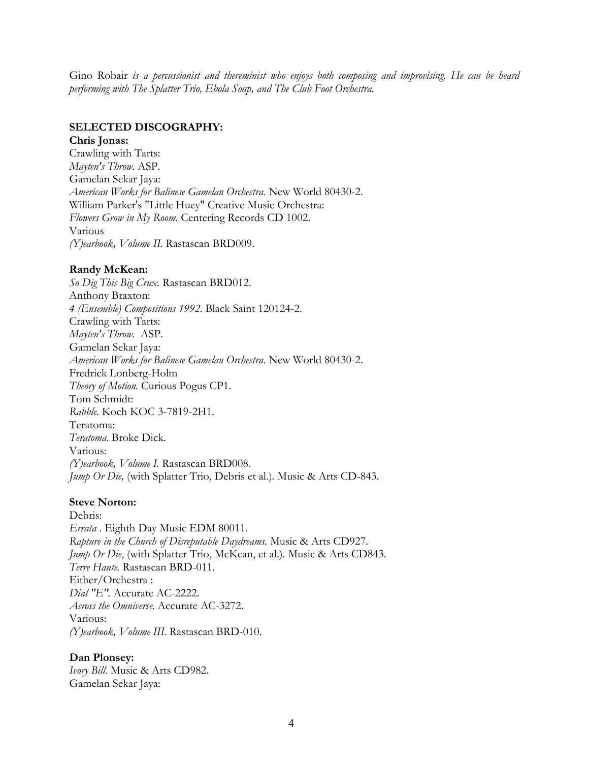Gino Robair *is a percussionist and thereminist who enjoys both composing and improvising. He can be heard performing with The Splatter Trio, Ebola Soup, and The Club Foot Orchestra.*

### **SELECTED DISCOGRAPHY:**

#### **Chris Jonas:**

Crawling with Tarts: *Mayten's Throw.* ASP. Gamelan Sekar Jaya: *American Works for Balinese Gamelan Orchestra.* New World 80430-2. William Parker's "Little Huey" Creative Music Orchestra: *Flowers Grow in My Room.* Centering Records CD 1002. Various *(Y)earbook, Volume II.* Rastascan BRD009.

#### **Randy McKean:**

*So Dig This Big Crux.* Rastascan BRD012. Anthony Braxton: *4 (Ensemble) Compositions 1992*. Black Saint 120124-2. Crawling with Tarts: *Mayten's Throw.* ASP. Gamelan Sekar Jaya: *American Works for Balinese Gamelan Orchestra.* New World 80430-2. Fredrick Lonberg-Holm *Theory of Motion.* Curious Pogus CP1. Tom Schmidt: *Rabble.* Koch KOC 3-7819-2H1. Teratoma: *Teratoma.* Broke Dick. Various: *(Y)earbook, Volume I.* Rastascan BRD008. *Jump Or Die,* (with Splatter Trio, Debris et al.). Music & Arts CD-843.

#### **Steve Norton:**

Debris: *Errata* . Eighth Day Music EDM 80011. *Rapture in the Church of Disreputable Daydreams.* Music & Arts CD927. *Jump Or Die*, (with Splatter Trio, McKean, et al.). Music & Arts CD843. *Terre Haute.* Rastascan BRD-011. Either/Orchestra : *Dial "E".* Accurate AC-2222. *Across the Omniverse.* Accurate AC-3272. Various: *(Y)earbook, Volume III.* Rastascan BRD-010.

#### **Dan Plonsey:**

*Ivory Bill.* Music & Arts CD982. Gamelan Sekar Jaya: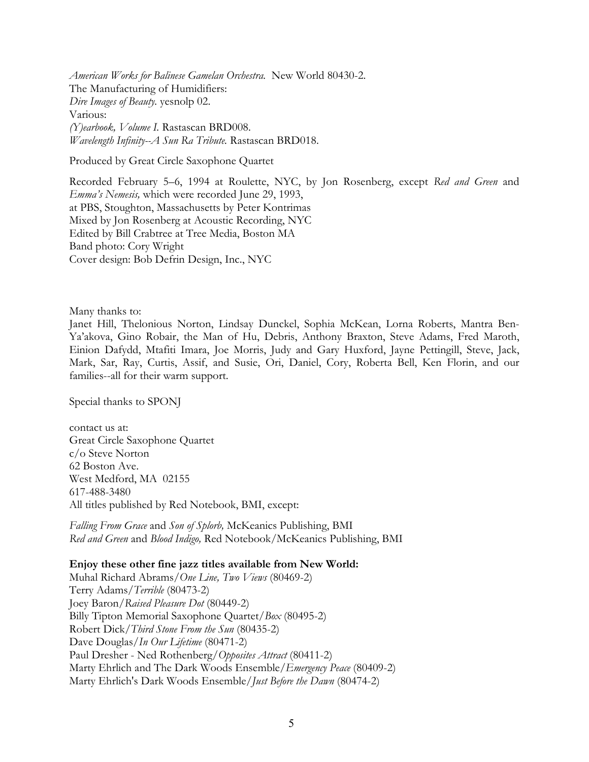*American Works for Balinese Gamelan Orchestra.* New World 80430-2. The Manufacturing of Humidifiers: *Dire Images of Beauty.* yesnolp 02. Various: *(Y)earbook, Volume I.* Rastascan BRD008. *Wavelength Infinity--A Sun Ra Tribute.* Rastascan BRD018.

Produced by Great Circle Saxophone Quartet

Recorded February 5–6, 1994 at Roulette, NYC, by Jon Rosenberg, except *Red and Green* and *Emma's Nemesis,* which were recorded June 29, 1993, at PBS, Stoughton, Massachusetts by Peter Kontrimas Mixed by Jon Rosenberg at Acoustic Recording, NYC Edited by Bill Crabtree at Tree Media, Boston MA Band photo: Cory Wright Cover design: Bob Defrin Design, Inc., NYC

Many thanks to:

Janet Hill, Thelonious Norton, Lindsay Dunckel, Sophia McKean, Lorna Roberts, Mantra Ben-Ya'akova, Gino Robair, the Man of Hu, Debris, Anthony Braxton, Steve Adams, Fred Maroth, Einion Dafydd, Mtafiti Imara, Joe Morris, Judy and Gary Huxford, Jayne Pettingill, Steve, Jack, Mark, Sar, Ray, Curtis, Assif, and Susie, Ori, Daniel, Cory, Roberta Bell, Ken Florin, and our families--all for their warm support.

Special thanks to SPONJ

contact us at: Great Circle Saxophone Quartet c/o Steve Norton 62 Boston Ave. West Medford, MA 02155 617-488-3480 All titles published by Red Notebook, BMI, except:

*Falling From Grace* and *Son of Splorb,* McKeanics Publishing, BMI *Red and Green* and *Blood Indigo,* Red Notebook/McKeanics Publishing, BMI

#### **Enjoy these other fine jazz titles available from New World:**

Muhal Richard Abrams/*One Line, Two Views* (80469-2) Terry Adams/*Terrible* (80473-2) Joey Baron/*Raised Pleasure Dot* (80449-2) Billy Tipton Memorial Saxophone Quartet/*Box* (80495-2) Robert Dick/*Third Stone From the Sun* (80435-2) Dave Douglas/*In Our Lifetime* (80471-2) Paul Dresher - Ned Rothenberg/*Opposites Attract* (80411-2) Marty Ehrlich and The Dark Woods Ensemble/*Emergency Peace* (80409-2) Marty Ehrlich's Dark Woods Ensemble/*Just Before the Dawn* (80474-2)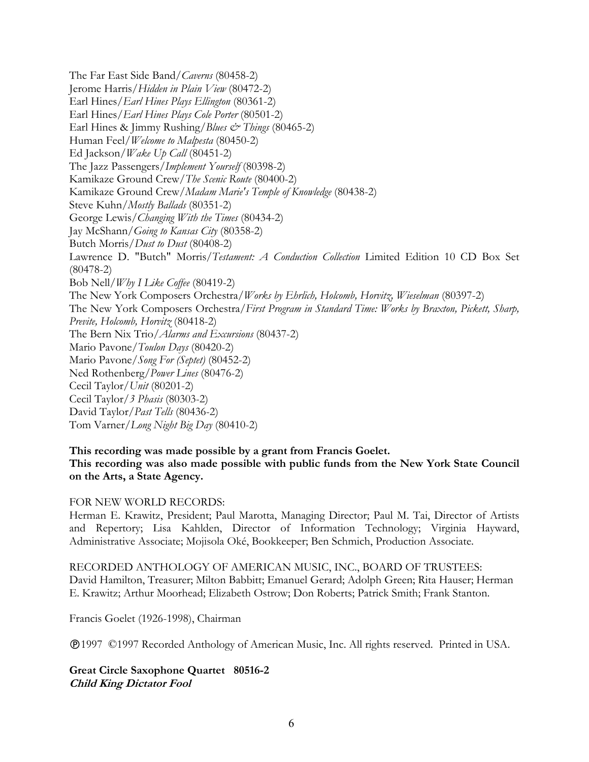The Far East Side Band/*Caverns* (80458-2) Jerome Harris/*Hidden in Plain View* (80472-2) Earl Hines/*Earl Hines Plays Ellington* (80361-2) Earl Hines/*Earl Hines Plays Cole Porter* (80501-2) Earl Hines & Jimmy Rushing/*Blues & Things* (80465-2) Human Feel/*Welcome to Malpesta* (80450-2) Ed Jackson/*Wake Up Call* (80451-2) The Jazz Passengers/*Implement Yourself* (80398-2) Kamikaze Ground Crew/*The Scenic Route* (80400-2) Kamikaze Ground Crew/*Madam Marie's Temple of Knowledge* (80438-2) Steve Kuhn/*Mostly Ballads* (80351-2) George Lewis/*Changing With the Times* (80434-2) Jay McShann/*Going to Kansas City* (80358-2) Butch Morris/*Dust to Dust* (80408-2) Lawrence D. "Butch" Morris/*Testament: A Conduction Collection* Limited Edition 10 CD Box Set (80478-2) Bob Nell/*Why I Like Coffee* (80419-2) The New York Composers Orchestra/*Works by Ehrlich, Holcomb, Horvitz, Wieselman* (80397-2) The New York Composers Orchestra/*First Program in Standard Time: Works by Braxton, Pickett, Sharp, Previte, Holcomb, Horvitz* (80418-2) The Bern Nix Trio/*Alarms and Excursions* (80437-2) Mario Pavone/*Toulon Days* (80420-2) Mario Pavone/*Song For (Septet)* (80452-2) Ned Rothenberg/*Power Lines* (80476-2) Cecil Taylor/*Unit* (80201-2) Cecil Taylor/*3 Phasis* (80303-2) David Taylor/*Past Tells* (80436-2) Tom Varner/*Long Night Big Day* (80410-2)

## **This recording was made possible by a grant from Francis Goelet. This recording was also made possible with public funds from the New York State Council on the Arts, a State Agency.**

## FOR NEW WORLD RECORDS:

Herman E. Krawitz, President; Paul Marotta, Managing Director; Paul M. Tai, Director of Artists and Repertory; Lisa Kahlden, Director of Information Technology; Virginia Hayward, Administrative Associate; Mojisola Oké, Bookkeeper; Ben Schmich, Production Associate.

RECORDED ANTHOLOGY OF AMERICAN MUSIC, INC., BOARD OF TRUSTEES: David Hamilton, Treasurer; Milton Babbitt; Emanuel Gerard; Adolph Green; Rita Hauser; Herman E. Krawitz; Arthur Moorhead; Elizabeth Ostrow; Don Roberts; Patrick Smith; Frank Stanton.

Francis Goelet (1926-1998), Chairman

1997 ©1997 Recorded Anthology of American Music, Inc. All rights reserved. Printed in USA.

**Great Circle Saxophone Quartet 80516-2 Child King Dictator Fool**